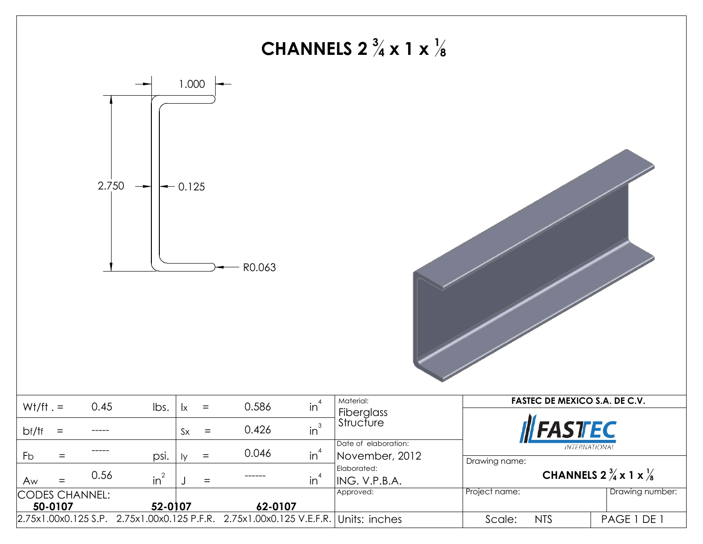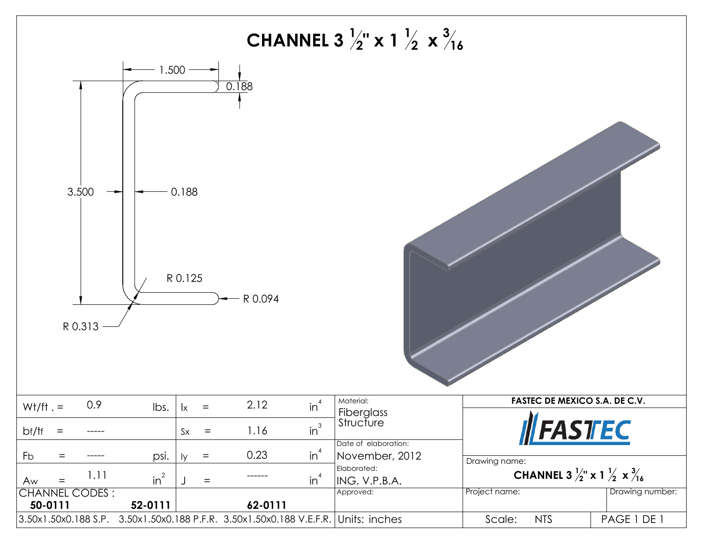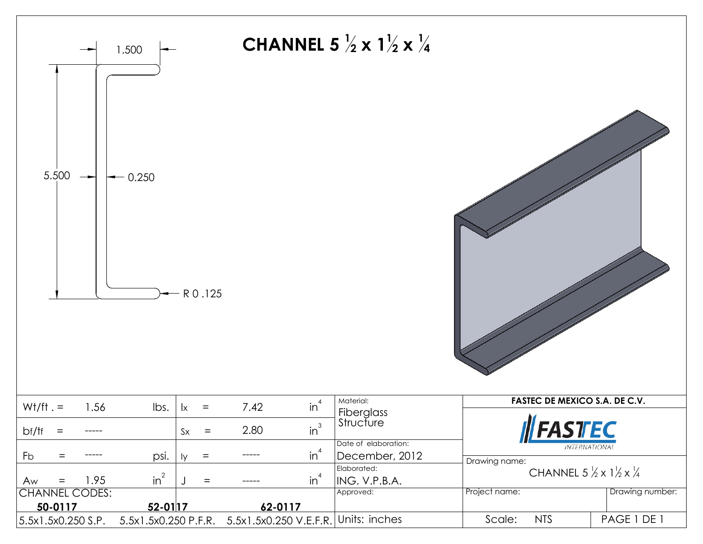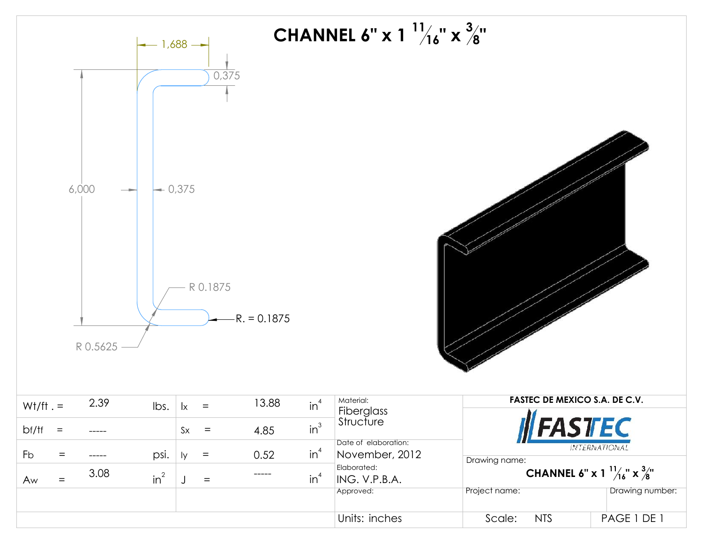